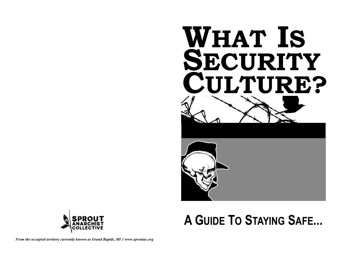

# A GUIDE TO STAYING SAFE...



From the occupied territory currently known as Grand Rapids, MI // www.sproutac.org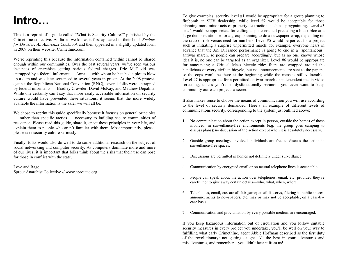### **Intro…**

 This is a reprint of a guide called "What is Security Culture?" published by the CrimethInc collective. As far as we know, it first appeared in their book *Recipes for Disaster: An Anarchist Cookbook* and then appeared in a slightly updated form in 2009 on their website, Crimethinc.com.

We're reprinting this because the information contained within cannot be shared enough within our communities. Over the past several years, we've seen various instances of anarchists getting serious federal charges. Eric McDavid was entrapped by a federal informant — Anna — with whom he hatched a plot to blow up a dam and was later sentenced to several years in prison. At the 2008 protests against the Republican National Convention (RNC), several folks were entrapped by federal informants — Bradley Crowder, David McKay, and Matthew Depalma. While one certainly can't say that more easily accessible information on security culture would have prevented these situations, it seems that the more widely available the information is the safer we will all be.

We chose to reprint this guide specifically because it focuses on general principles — rather than specific tactics — necessary to building secure communities of resistance. Please read this guide, share it, enact these principles in your life, and explain them to people who aren't familiar with them. Most importantly, please, please take security culture seriously.

Finally, folks would also do well to do some additional research on the subject of social networking and computer security. As computers dominate more and more of our lives, it is important that folks think about the risks that their use can pose for those in conflict with the state.

Love and Rage, Sprout Anarchist Collective // www.sproutac.org

To give examples, security level #1 would be appropriate for a group planning to firebomb an SUV dealership, while level #2 would be acceptable for those planning more minor acts of property destruction, such as spraypainting. Level #3 or #4 would be appropriate for calling a spokescouncil preceding a black bloc at a large demonstration or for a group planning to do a newspaper wrap, depending on the ratio of risk versus need for numbers. Level #5 would be perfect for a project such as initiating a surprise unpermitted march: for example, everyone hears in advance that the Ani DiFranco performance is going to end in a "spontaneous" antiwar march, so people can prepare accordingly, but as no one knows whose idea it is, no one can be targeted as an organizer. Level #6 would be appropriate for announcing a Critical Mass bicycle ride: fliers are wrapped around the handlebars of every civilian bicycle, but no announcements are sent to the papers, so the cops won't be there at the beginning while the mass is still vulnerable. Level #7 is appropriate for a permitted antiwar march or independent media video screening, unless you're so dysfunctionally paranoid you even want to keep community outreach projects a secret.

It also makes sense to choose the means of communication you will use according to the level of security demanded. Here's an example of different levels of communications security, corresponding to the system just outlined above:

- 1. No communication about the action except in person, outside the homes of those involved, in surveillance-free environments (e.g. the group goes camping to discuss plans); no discussion of the action except when it is absolutely necessary.
- 2. Outside group meetings, involved individuals are free to discuss the action in surveillance-free spaces.
- 3. Discussions are permitted in homes not definitely under surveillance.
- 4. Communication by encrypted email or on neutral telephone lines is acceptable.
- 5. People can speak about the action over telephones, email, etc. provided they're careful not to give away certain details—who, what, when, where.
- 6. Telephones, email, etc. are all fair game; email listservs, fliering in public spaces, announcements to newspapers, etc. may or may not be acceptable, on a case-bycase basis.
- 7. Communication and proclamation by every possible medium are encouraged.

If you keep hazardous information out of circulation and you follow suitable security measures in every project you undertake, you'll be well on your way to fulfilling what early CrimethInc. agent Abbie Hoffman described as the first duty of the revolutionary: not getting caught. All the best in your adventures and misadventures, and remember—you didn't hear it from us!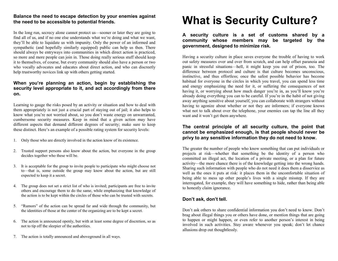#### **Balance the need to escape detection by your enemies against the need to be accessible to potential friends.**

In the long run, secrecy alone cannot protect us—sooner or later they are going to find all of us, and if no one else understands what we're doing and what we want, they'll be able to liquidate us with impunity. Only the power of an informed and sympathetic (and hopefully similarly equipped) public can help us then. There should always be entryways into communities in which direct action is practiced, so more and more people can join in. Those doing really serious stuff should keep it to themselves, of course, but every community should also have a person or two who vocally advocates and educates about direct action, and who can discreetly help trustworthy novices link up with others getting started.

#### **When you're planning an action, begin by establishing the security level appropriate to it, and act accordingly from there on.**

Learning to gauge the risks posed by an activity or situation and how to deal with them appropriately is not just a crucial part of staying out of jail; it also helps to know what you're not worried about, so you don't waste energy on unwarranted, cumbersome security measures. Keep in mind that a given action may have different aspects that demand different degrees of security; make sure to keep these distinct. Here's an example of a possible rating system for security levels:

- 1. Only those who are directly involved in the action know of its existence.
- 2. Trusted support persons also know about the action, but everyone in the group decides together who these will be.
- 3. It is acceptable for the group to invite people to participate who might choose not to—that is, some outside the group may know about the action, but are still expected to keep it a secret.
- 4. The group does not set a strict list of who is invited; participants are free to invite others and encourage them to do the same, while emphasizing that knowledge of the action is to be kept within the circles of those who can be trusted with secrets.
- 5. "Rumors" of the action can be spread far and wide through the community, but the identities of those at the center of the organizing are to be kept a secret.
- 6. The action is announced openly, but with at least some degree of discretion, so as not to tip off the sleepier of the authorities.
- 7. The action is totally announced and aboveground in all ways.

## **What is Security Culture?**

**A security culture is a set of customs shared by a community whose members may be targeted by the government, designed to minimize risk.** 

Having a security culture in place saves everyone the trouble of having to work out safety measures over and over from scratch, and can help offset paranoia and panic in stressful situations—hell, it might keep you out of prison, too. The difference between protocol and culture is that culture becomes unconscious, instinctive, and thus effortless; once the safest possible behavior has become habitual for everyone in the circles in which you travel, you can spend less time and energy emphasizing the need for it, or suffering the consequences of not having it, or worrying about how much danger you're in, as you'll know you're already doing everything you can to be careful. If you're in the habit of not giving away anything sensitive about yourself, you can collaborate with strangers without having to agonize about whether or not they are informers; if everyone knows what not to talk about over the telephone, your enemies can tap the line all they want and it won't get them anywhere.

#### **The central principle of all security culture, the point that cannot be emphasized enough, is that people should never be privy to any sensitive information they do not need to know.**

The greater the number of people who know something that can put individuals or projects at risk—whether that something be the identity of a person who committed an illegal act, the location of a private meeting, or a plan for future activity—the more chance there is of the knowledge getting into the wrong hands. Sharing such information with people who do not need it does them a disservice as well as the ones it puts at risk: it places them in the uncomfortable situation of being able to mess up other people's lives with a single misstep. If they are interrogated, for example, they will have something to hide, rather than being able to honestly claim ignorance.

#### **Don't ask, don't tell.**

Don't ask others to share confidential information you don't need to know. Don't brag about illegal things you or others have done, or mention things that are going to happen or might happen, or even refer to another person's interest in being involved in such activities. Stay aware whenever you speak; don't let chance allusions drop out thoughtlessly.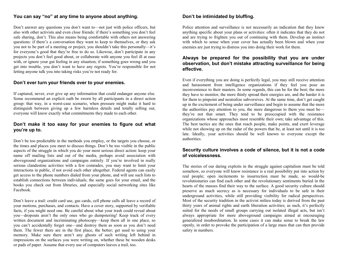#### **You can say "no" at any time to anyone about anything.**

Don't answer any questions you don't want to—not just with police officers, but also with other activists and even close friends: if there's something you don't feel safe sharing, don't. This also means being comfortable with others not answering questions: if there's a conversation they want to keep to themselves, or they ask you not to be part of a meeting or project, you shouldn't take this personally—it's for everyone's good that they're free to do so. Likewise, don't participate in any projects you don't feel good about, or collaborate with anyone you feel ill at ease with, or ignore your gut feeling in any situation; if something goes wrong and you get into trouble, you don't want to have any regrets. You're responsible for not letting anyone talk you into taking risks you're not ready for.

#### **Don't ever turn your friends over to your enemies.**

If captured, never, ever give up any information that could endanger anyone else. Some recommend an explicit oath be sworn by all participants in a direct action group: that way, in a worst-case scenario, when pressure might make it hard to distinguish between giving up a few harmless details and totally selling out, everyone will know exactly what commitments they made to each other.

#### **Don't make it too easy for your enemies to figure out what you're up to.**

Don't be too predictable in the methods you employ, or the targets you choose, or the times and places you meet to discuss things. Don't be too visible in the public aspects of the struggle in which you do your most serious direct action: keep your name off mailing lists and out of the media, perhaps avoid association with aboveground organizations and campaigns entirely. If you're involved in really serious clandestine activities with a few comrades, you may want to limit your interactions in public, if not avoid each other altogether. Federal agents can easily get access to the phone numbers dialed from your phone, and will use such lists to establish connections between individuals; the same goes for your email, and the books you check out from libraries, and especially social networking sites like Facebook.

Don't leave a trail: credit card use, gas cards, cell phone calls all leave a record of your motions, purchases, and contacts. Have a cover story, supported by verifiable facts, if you might need one. Be careful about what your trash could reveal about you—dropouts aren't the only ones who go dumpstering! Keep track of every written document and incriminating photocopy—keep them all in one place, so you can't accidentally forget one—and destroy them as soon as you don't need them. The fewer there are in the first place, the better; get used to using your memory. Make sure there aren't any ghosts of such writing left behind in impressions on the surfaces you were writing on, whether these be wooden desks or pads of paper. Assume that every use of computers leaves a trail, too.

#### **Don't be intimidated by bluffing.**

Police attention and surveillance is not necessarily an indication that they know anything specific about your plans or activities: often it indicates that they do not and are trying to frighten you out of continuing with them. Develop an instinct with which to sense when your cover has actually been blown and when your enemies are just trying to distress you into doing their work for them.

#### **Always be prepared for the possibility that you are under observation, but don't mistake attracting surveillance for being effective.**

Even if everything you are doing is perfectly legal, you may still receive attention and harassment from intelligence organizations if they feel you pose an inconvenience to their masters. In some regards, this can be for the best; the more they have to monitor, the more thinly spread their energies are, and the harder it is for them to pinpoint and neutralize subversives. At the same time, don't get caught up in the excitement of being under surveillance and begin to assume that the more the authorities pay attention to you, the more dangerous to them you must be they're not that smart. They tend to be preoccupied with the resistance organizations whose approaches most resemble their own; take advantage of this. The best tactics are the ones that reach people, make points, and exert leverage while not showing up on the radar of the powers that be, at least not until it is too late. Ideally, your activities should be well known to everyone except the authorities.

#### **Security culture involves a code of silence, but it is not a code of voicelessness.**

The stories of our daring exploits in the struggle against capitalism must be told somehow, so everyone will know resistance is a real possibility put into action by real people; open incitements to insurrection must be made, so would-be revolutionaries can find each other and the revolutionary sentiments buried in the hearts of the masses find their way to the surface. A good security culture should preserve as much secrecy as is necessary for individuals to be safe in their underground activities, while still providing visibility for radical perspectives. Most of the security tradition in the activist milieu today is derived from the past thirty years of animal rights and earth liberation activities; as such, it's perfectly suited for the needs of small groups carrying out isolated illegal acts, but isn't always appropriate for more aboveground campaigns aimed at encouraging generalized insubordination. In some cases it can make sense to break the law openly, in order to provoke the participation of a large mass that can then provide safety in numbers.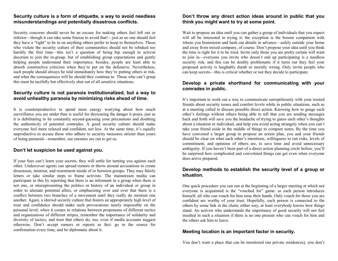#### **Security culture is a form of etiquette, a way to avoid needless misunderstandings and potentially disastrous conflicts.**

Security concerns should never be an excuse for making others feel left out or inferior—though it can take some finesse to avoid that!—just as no one should feel they have a "right" to be in on anything others prefer to keep to themselves. Those who violate the security culture of their communities should not be rebuked too harshly the first time—this isn't a question of being hip enough to activist decorum to join the in-group, but of establishing group expectations and gently helping people understand their importance; besides, people are least able to absorb constructive criticism when they're put on the defensive. Nevertheless, such people should always be told immediately how they're putting others at risk, and what the consequences will be should they continue to. Those who can't grasp this must be tactfully but effectively shut out of all sensitive situations.

#### **Security culture is not paranoia institutionalized, but a way to avoid unhealthy paranoia by minimizing risks ahead of time.**

It is counterproductive to spend more energy worrying about how much surveillance you are under than is useful for decreasing the danger it poses, just as it is debilitating to be constantly second-guessing your precautions and doubting the authenticity of potential comrades. A good security culture should make everyone feel more relaxed and confident, not less. At the same time, it's equally unproductive to accuse those who adhere to security measures stricter than yours of being paranoid—remember, our enemies are out to get us.

#### **Don't let suspicion be used against you.**

If your foes can't learn your secrets, they will settle for turning you against each other. Undercover agents can spread rumors or throw around accusations to create dissension, mistrust, and resentment inside of or between groups. They may falsify letters or take similar steps to frame activists. The mainstream media can participate in this by reporting that there is an informant in a group when there is not one, or misrepresenting the politics or history of an individual or group in order to alienate potential allies, or emphasizing over and over that there is a conflict between two branches of a movement until they really do mistrust one another. Again, a shrewd security culture that fosters an appropriately high level of trust and confidence should make such provocations nearly impossible on the personal level; when it comes to relations between proponents of different tactics and organizations of different stripes, remember the importance of solidarity and diversity of tactics, and trust that others do, too, even if media accounts suggest otherwise. Don't accept rumors or reports as fact: go to the source for confirmation every time, and be diplomatic about it.

#### **Don't throw any direct action ideas around in public that you think you might want to try at some point.**

Wait to propose an idea until you can gather a group of individuals that you expect will all be interested in trying it; the exception is the bosom companion with whom you brainstorm and hash out details in advance—safely outside your home and away from mixed company, of course. Don't propose your idea until you think the time is right for it to be tried. Invite only those you are pretty certain will want to join in—everyone you invite who doesn't end up participating is a needless security risk, and this can be doubly problematic if it turns out they feel your proposed activity is laughably dumb or morally wrong. Only invite people who can keep secrets—this is critical whether or not they decide to participate.

#### **Develop a private shorthand for communicating with your comrades in public.**

It's important to work out a way to communicate surreptitiously with your trusted friends about security issues and comfort levels while in public situations, such as at a meeting called to discuss possible direct action. Knowing how to gauge each other's feelings without others being able to tell that you are sending messages back and forth will save you the headache of trying to guess each other's thoughts about a situation or individual, and help you avoid acting strangely when you can't take your friend aside in the middle of things to compare notes. By the time you have convened a larger group to propose an action plan, you and your friends should be clear on what each other's intentions, willingness to run risks, levels of commitment, and opinions of others are, to save time and avoid unnecessary ambiguity. If you haven't been part of a direct action planning circle before, you'll be surprised how complicated and convoluted things can get even when everyone does arrive prepared.

#### **Develop methods to establish the security level of a group or situation.**

One quick procedure you can run at the beginning of a larger meeting at which not everyone is acquainted is the "vouched for" game: as each person introduces himself, all who can vouch for him raise their hands. Only vouch for those you are confident are worthy of your trust. Hopefully, each person is connected to the others by some link in the chain; either way, at least everybody knows how things stand. An activist who understands the importance of good security will not feel insulted in such a situation if there is no one present who can vouch for him and the others ask him to leave.

#### **Meeting location is an important factor in security.**

You don't want a place that can be monitored (no private residences), you don't